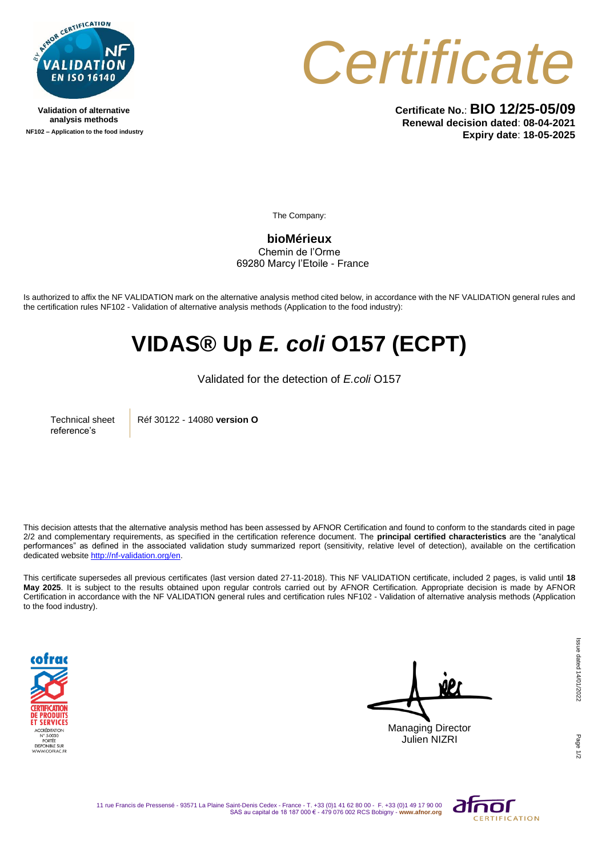

**Validation of alternative analysis methods NF102 – Application to the food industry**



**Certificate No.**: **BIO 12/25-05/09 Renewal decision dated**: **08-04-2021 Expiry date**: **18-05-2025**

The Company:

**bioMérieux** Chemin de l'Orme 69280 Marcy l'Etoile - France

Is authorized to affix the NF VALIDATION mark on the alternative analysis method cited below, in accordance with the NF VALIDATION general rules and the certification rules NF102 - Validation of alternative analysis methods (Application to the food industry):

## **VIDAS® Up** *E. coli* **O157 (ECPT)**

Validated for the detection of *E.coli* O157

Technical sheet reference's

Réf 30122 - 14080 **version O**

This decision attests that the alternative analysis method has been assessed by AFNOR Certification and found to conform to the standards cited in page 2/2 and complementary requirements, as specified in the certification reference document. The **principal certified characteristics** are the "analytical performances" as defined in the associated validation study summarized report (sensitivity, relative level of detection), available on the certification dedicated websit[e http://nf-validation.org/en.](http://nf-validation.org/en)

This certificate supersedes all previous certificates (last version dated 27-11-2018). This NF VALIDATION certificate, included 2 pages, is valid until **18 May 2025**. It is subject to the results obtained upon regular controls carried out by AFNOR Certification. Appropriate decision is made by AFNOR Certification in accordance with the NF VALIDATION general rules and certification rules NF102 - Validation of alternative analysis methods (Application to the food industry).



Managing Director Julien NIZRI